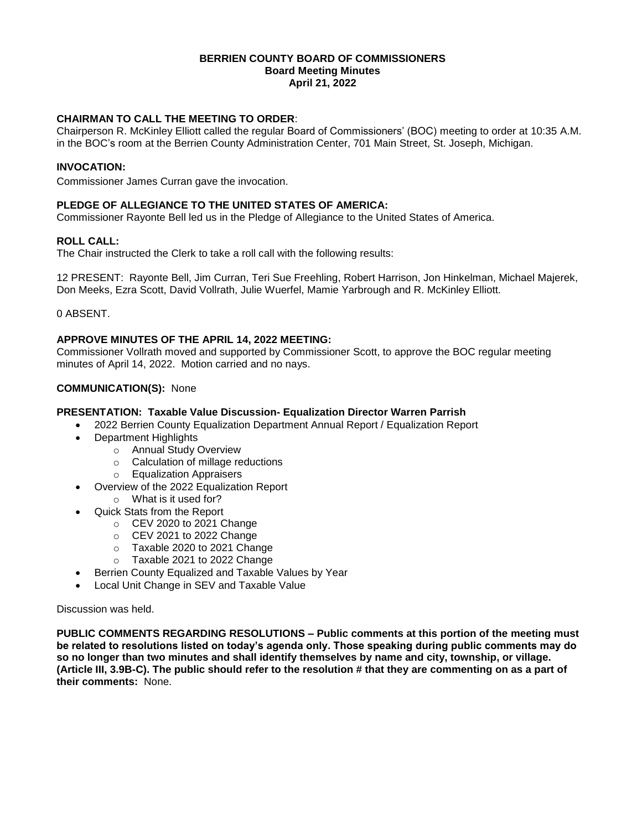#### **BERRIEN COUNTY BOARD OF COMMISSIONERS Board Meeting Minutes April 21, 2022**

# **CHAIRMAN TO CALL THE MEETING TO ORDER**:

Chairperson R. McKinley Elliott called the regular Board of Commissioners' (BOC) meeting to order at 10:35 A.M. in the BOC's room at the Berrien County Administration Center, 701 Main Street, St. Joseph, Michigan.

## **INVOCATION:**

Commissioner James Curran gave the invocation.

## **PLEDGE OF ALLEGIANCE TO THE UNITED STATES OF AMERICA:**

Commissioner Rayonte Bell led us in the Pledge of Allegiance to the United States of America.

## **ROLL CALL:**

The Chair instructed the Clerk to take a roll call with the following results:

12 PRESENT: Rayonte Bell, Jim Curran, Teri Sue Freehling, Robert Harrison, Jon Hinkelman, Michael Majerek, Don Meeks, Ezra Scott, David Vollrath, Julie Wuerfel, Mamie Yarbrough and R. McKinley Elliott.

0 ABSENT.

## **APPROVE MINUTES OF THE APRIL 14, 2022 MEETING:**

Commissioner Vollrath moved and supported by Commissioner Scott, to approve the BOC regular meeting minutes of April 14, 2022. Motion carried and no nays.

## **COMMUNICATION(S):** None

## **PRESENTATION: Taxable Value Discussion- Equalization Director Warren Parrish**

- 2022 Berrien County Equalization Department Annual Report / Equalization Report
- Department Highlights
	- o Annual Study Overview
	- o Calculation of millage reductions
	- o Equalization Appraisers
- Overview of the 2022 Equalization Report o What is it used for?
- Quick Stats from the Report
	- o CEV 2020 to 2021 Change
	- o CEV 2021 to 2022 Change
	- o Taxable 2020 to 2021 Change
	- o Taxable 2021 to 2022 Change
- Berrien County Equalized and Taxable Values by Year
- Local Unit Change in SEV and Taxable Value

## Discussion was held.

**PUBLIC COMMENTS REGARDING RESOLUTIONS – Public comments at this portion of the meeting must be related to resolutions listed on today's agenda only. Those speaking during public comments may do so no longer than two minutes and shall identify themselves by name and city, township, or village. (Article III, 3.9B-C). The public should refer to the resolution # that they are commenting on as a part of their comments:** None.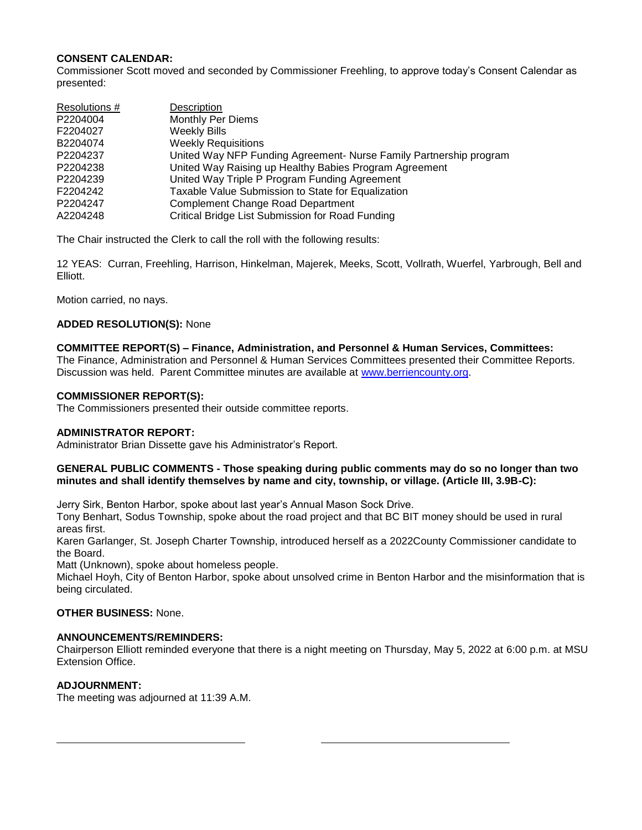# **CONSENT CALENDAR:**

Commissioner Scott moved and seconded by Commissioner Freehling, to approve today's Consent Calendar as presented:

| Resolutions # | Description                                                        |
|---------------|--------------------------------------------------------------------|
| P2204004      | <b>Monthly Per Diems</b>                                           |
| F2204027      | <b>Weekly Bills</b>                                                |
| B2204074      | <b>Weekly Requisitions</b>                                         |
| P2204237      | United Way NFP Funding Agreement- Nurse Family Partnership program |
| P2204238      | United Way Raising up Healthy Babies Program Agreement             |
| P2204239      | United Way Triple P Program Funding Agreement                      |
| F2204242      | Taxable Value Submission to State for Equalization                 |
| P2204247      | <b>Complement Change Road Department</b>                           |
| A2204248      | Critical Bridge List Submission for Road Funding                   |

The Chair instructed the Clerk to call the roll with the following results:

12 YEAS: Curran, Freehling, Harrison, Hinkelman, Majerek, Meeks, Scott, Vollrath, Wuerfel, Yarbrough, Bell and Elliott.

Motion carried, no nays.

## **ADDED RESOLUTION(S):** None

## **COMMITTEE REPORT(S) – Finance, Administration, and Personnel & Human Services, Committees:**

The Finance, Administration and Personnel & Human Services Committees presented their Committee Reports. Discussion was held. Parent Committee minutes are available at [www.berriencounty.org.](http://www.berriencounty.org/)

## **COMMISSIONER REPORT(S):**

The Commissioners presented their outside committee reports.

## **ADMINISTRATOR REPORT:**

Administrator Brian Dissette gave his Administrator's Report.

#### **GENERAL PUBLIC COMMENTS - Those speaking during public comments may do so no longer than two minutes and shall identify themselves by name and city, township, or village. (Article III, 3.9B-C):**

Jerry Sirk, Benton Harbor, spoke about last year's Annual Mason Sock Drive.

Tony Benhart, Sodus Township, spoke about the road project and that BC BIT money should be used in rural areas first.

Karen Garlanger, St. Joseph Charter Township, introduced herself as a 2022County Commissioner candidate to the Board.

Matt (Unknown), spoke about homeless people.

Michael Hoyh, City of Benton Harbor, spoke about unsolved crime in Benton Harbor and the misinformation that is being circulated.

## **OTHER BUSINESS:** None.

#### **ANNOUNCEMENTS/REMINDERS:**

Chairperson Elliott reminded everyone that there is a night meeting on Thursday, May 5, 2022 at 6:00 p.m. at MSU Extension Office.

## **ADJOURNMENT:**

The meeting was adjourned at 11:39 A.M.